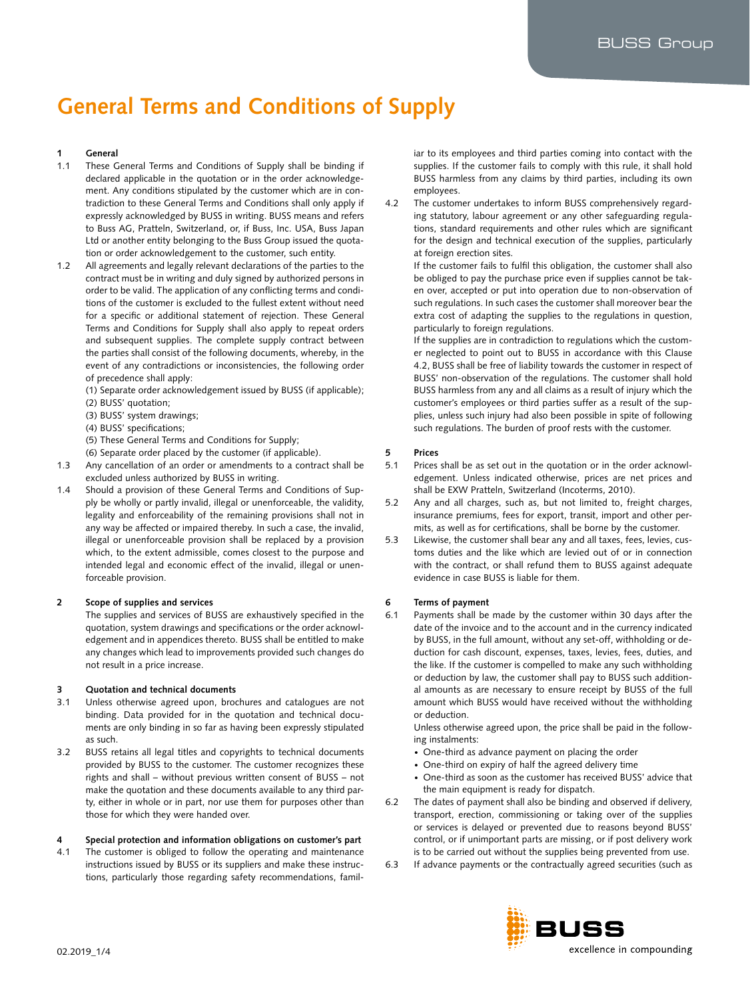# **General Terms and Conditions of Supply**

# **1 General**

- 1.1 These General Terms and Conditions of Supply shall be binding if declared applicable in the quotation or in the order acknowledgement. Any conditions stipulated by the customer which are in contradiction to these General Terms and Conditions shall only apply if expressly acknowledged by BUSS in writing. BUSS means and refers to Buss AG, Pratteln, Switzerland, or, if Buss, Inc. USA, Buss Japan Ltd or another entity belonging to the Buss Group issued the quotation or order acknowledgement to the customer, such entity.
- 1.2 All agreements and legally relevant declarations of the parties to the contract must be in writing and duly signed by authorized persons in order to be valid. The application of any conflicting terms and conditions of the customer is excluded to the fullest extent without need for a specific or additional statement of rejection. These General Terms and Conditions for Supply shall also apply to repeat orders and subsequent supplies. The complete supply contract between the parties shall consist of the following documents, whereby, in the event of any contradictions or inconsistencies, the following order of precedence shall apply:
	- (1) Separate order acknowledgement issued by BUSS (if applicable);
	- (2) BUSS' quotation;
	- (3) BUSS' system drawings;
	- (4) BUSS' specifications;
	- (5) These General Terms and Conditions for Supply;
	- (6) Separate order placed by the customer (if applicable).
- 1.3 Any cancellation of an order or amendments to a contract shall be excluded unless authorized by BUSS in writing.
- 1.4 Should a provision of these General Terms and Conditions of Supply be wholly or partly invalid, illegal or unenforceable, the validity, legality and enforceability of the remaining provisions shall not in any way be affected or impaired thereby. In such a case, the invalid, illegal or unenforceable provision shall be replaced by a provision which, to the extent admissible, comes closest to the purpose and intended legal and economic effect of the invalid, illegal or unenforceable provision.

# **2 Scope of supplies and services**

The supplies and services of BUSS are exhaustively specified in the quotation, system drawings and specifications or the order acknowledgement and in appendices thereto. BUSS shall be entitled to make any changes which lead to improvements provided such changes do not result in a price increase.

#### **3 Quotation and technical documents**

- 3.1 Unless otherwise agreed upon, brochures and catalogues are not binding. Data provided for in the quotation and technical documents are only binding in so far as having been expressly stipulated as such.
- 3.2 BUSS retains all legal titles and copyrights to technical documents provided by BUSS to the customer. The customer recognizes these rights and shall – without previous written consent of BUSS – not make the quotation and these documents available to any third party, either in whole or in part, nor use them for purposes other than those for which they were handed over.

# **4 Special protection and information obligations on customer's part**

4.1 The customer is obliged to follow the operating and maintenance instructions issued by BUSS or its suppliers and make these instructions, particularly those regarding safety recommendations, famil-

iar to its employees and third parties coming into contact with the supplies. If the customer fails to comply with this rule, it shall hold BUSS harmless from any claims by third parties, including its own employees.

4.2 The customer undertakes to inform BUSS comprehensively regarding statutory, labour agreement or any other safeguarding regulations, standard requirements and other rules which are significant for the design and technical execution of the supplies, particularly at foreign erection sites.

If the customer fails to fulfil this obligation, the customer shall also be obliged to pay the purchase price even if supplies cannot be taken over, accepted or put into operation due to non-observation of such regulations. In such cases the customer shall moreover bear the extra cost of adapting the supplies to the regulations in question, particularly to foreign regulations.

If the supplies are in contradiction to regulations which the customer neglected to point out to BUSS in accordance with this Clause 4.2, BUSS shall be free of liability towards the customer in respect of BUSS' non-observation of the regulations. The customer shall hold BUSS harmless from any and all claims as a result of injury which the customer's employees or third parties suffer as a result of the supplies, unless such injury had also been possible in spite of following such regulations. The burden of proof rests with the customer.

## **5 Prices**

- 5.1 Prices shall be as set out in the quotation or in the order acknowledgement. Unless indicated otherwise, prices are net prices and shall be EXW Pratteln, Switzerland (Incoterms, 2010).
- 5.2 Any and all charges, such as, but not limited to, freight charges, insurance premiums, fees for export, transit, import and other permits, as well as for certifications, shall be borne by the customer.
- 5.3 Likewise, the customer shall bear any and all taxes, fees, levies, customs duties and the like which are levied out of or in connection with the contract, or shall refund them to BUSS against adequate evidence in case BUSS is liable for them.

# **6 Terms of payment**

6.1 Payments shall be made by the customer within 30 days after the date of the invoice and to the account and in the currency indicated by BUSS, in the full amount, without any set-off, withholding or deduction for cash discount, expenses, taxes, levies, fees, duties, and the like. If the customer is compelled to make any such withholding or deduction by law, the customer shall pay to BUSS such additional amounts as are necessary to ensure receipt by BUSS of the full amount which BUSS would have received without the withholding or deduction.

Unless otherwise agreed upon, the price shall be paid in the following instalments:

- One-third as advance payment on placing the order
- One-third on expiry of half the agreed delivery time
- One-third as soon as the customer has received BUSS' advice that the main equipment is ready for dispatch.
- 6.2 The dates of payment shall also be binding and observed if delivery, transport, erection, commissioning or taking over of the supplies or services is delayed or prevented due to reasons beyond BUSS' control, or if unimportant parts are missing, or if post delivery work is to be carried out without the supplies being prevented from use.
- 6.3 If advance payments or the contractually agreed securities (such as

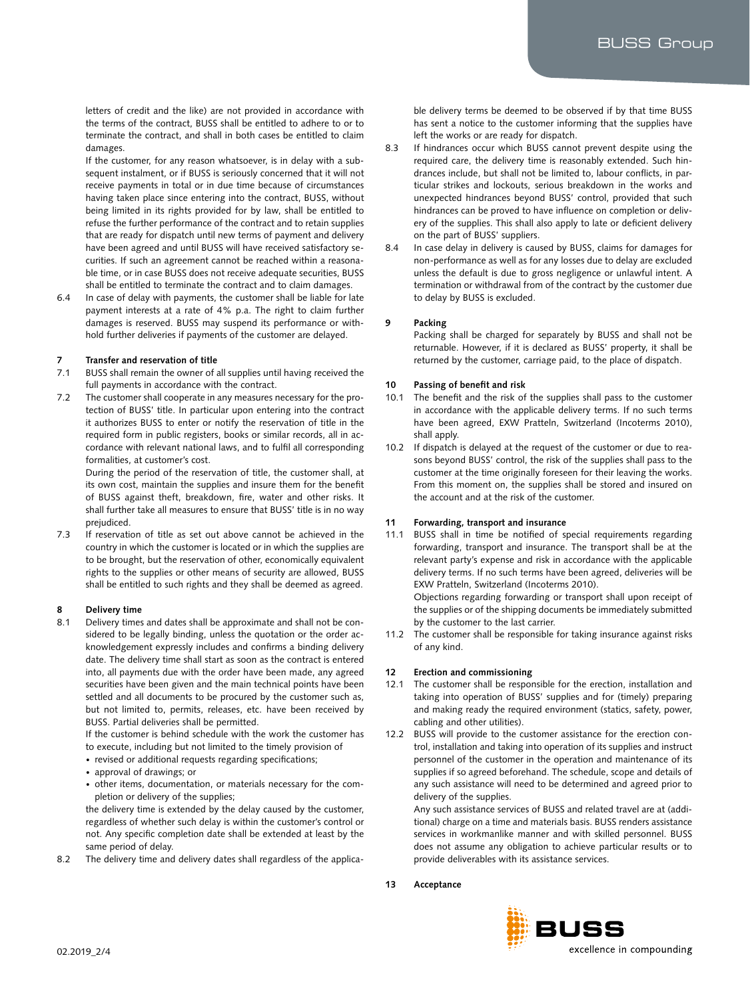letters of credit and the like) are not provided in accordance with the terms of the contract, BUSS shall be entitled to adhere to or to terminate the contract, and shall in both cases be entitled to claim damages.

If the customer, for any reason whatsoever, is in delay with a subsequent instalment, or if BUSS is seriously concerned that it will not receive payments in total or in due time because of circumstances having taken place since entering into the contract, BUSS, without being limited in its rights provided for by law, shall be entitled to refuse the further performance of the contract and to retain supplies that are ready for dispatch until new terms of payment and delivery have been agreed and until BUSS will have received satisfactory securities. If such an agreement cannot be reached within a reasonable time, or in case BUSS does not receive adequate securities, BUSS shall be entitled to terminate the contract and to claim damages.

6.4 In case of delay with payments, the customer shall be liable for late payment interests at a rate of 4% p.a. The right to claim further damages is reserved. BUSS may suspend its performance or withhold further deliveries if payments of the customer are delayed.

#### **7 Transfer and reservation of title**

- 7.1 BUSS shall remain the owner of all supplies until having received the full payments in accordance with the contract.
- 7.2 The customer shall cooperate in any measures necessary for the protection of BUSS' title. In particular upon entering into the contract it authorizes BUSS to enter or notify the reservation of title in the required form in public registers, books or similar records, all in accordance with relevant national laws, and to fulfil all corresponding formalities, at customer's cost.

During the period of the reservation of title, the customer shall, at its own cost, maintain the supplies and insure them for the benefit of BUSS against theft, breakdown, fire, water and other risks. It shall further take all measures to ensure that BUSS' title is in no way prejudiced.

7.3 If reservation of title as set out above cannot be achieved in the country in which the customer is located or in which the supplies are to be brought, but the reservation of other, economically equivalent rights to the supplies or other means of security are allowed, BUSS shall be entitled to such rights and they shall be deemed as agreed.

#### **8 Delivery time**

8.1 Delivery times and dates shall be approximate and shall not be considered to be legally binding, unless the quotation or the order acknowledgement expressly includes and confirms a binding delivery date. The delivery time shall start as soon as the contract is entered into, all payments due with the order have been made, any agreed securities have been given and the main technical points have been settled and all documents to be procured by the customer such as, but not limited to, permits, releases, etc. have been received by BUSS. Partial deliveries shall be permitted.

If the customer is behind schedule with the work the customer has to execute, including but not limited to the timely provision of

- revised or additional requests regarding specifications;
- approval of drawings; or
- other items, documentation, or materials necessary for the completion or delivery of the supplies;

the delivery time is extended by the delay caused by the customer, regardless of whether such delay is within the customer's control or not. Any specific completion date shall be extended at least by the same period of delay.

8.2 The delivery time and delivery dates shall regardless of the applica-

ble delivery terms be deemed to be observed if by that time BUSS has sent a notice to the customer informing that the supplies have left the works or are ready for dispatch.

- 8.3 If hindrances occur which BUSS cannot prevent despite using the required care, the delivery time is reasonably extended. Such hindrances include, but shall not be limited to, labour conflicts, in particular strikes and lockouts, serious breakdown in the works and unexpected hindrances beyond BUSS' control, provided that such hindrances can be proved to have influence on completion or delivery of the supplies. This shall also apply to late or deficient delivery on the part of BUSS' suppliers.
- 8.4 In case delay in delivery is caused by BUSS, claims for damages for non-performance as well as for any losses due to delay are excluded unless the default is due to gross negligence or unlawful intent. A termination or withdrawal from of the contract by the customer due to delay by BUSS is excluded.

# **9 Packing**

Packing shall be charged for separately by BUSS and shall not be returnable. However, if it is declared as BUSS' property, it shall be returned by the customer, carriage paid, to the place of dispatch.

#### **10 Passing of benefit and risk**

- 10.1 The benefit and the risk of the supplies shall pass to the customer in accordance with the applicable delivery terms. If no such terms have been agreed, EXW Pratteln, Switzerland (Incoterms 2010), shall apply.
- 10.2 If dispatch is delayed at the request of the customer or due to reasons beyond BUSS' control, the risk of the supplies shall pass to the customer at the time originally foreseen for their leaving the works. From this moment on, the supplies shall be stored and insured on the account and at the risk of the customer.

# **11 Forwarding, transport and insurance**

11.1 BUSS shall in time be notified of special requirements regarding forwarding, transport and insurance. The transport shall be at the relevant party's expense and risk in accordance with the applicable delivery terms. If no such terms have been agreed, deliveries will be EXW Pratteln, Switzerland (Incoterms 2010). Objections regarding forwarding or transport shall upon receipt of

the supplies or of the shipping documents be immediately submitted by the customer to the last carrier.

11.2 The customer shall be responsible for taking insurance against risks of any kind.

# **12 Erection and commissioning**

- 12.1 The customer shall be responsible for the erection, installation and taking into operation of BUSS' supplies and for (timely) preparing and making ready the required environment (statics, safety, power, cabling and other utilities).
- 12.2 BUSS will provide to the customer assistance for the erection control, installation and taking into operation of its supplies and instruct personnel of the customer in the operation and maintenance of its supplies if so agreed beforehand. The schedule, scope and details of any such assistance will need to be determined and agreed prior to delivery of the supplies.

Any such assistance services of BUSS and related travel are at (additional) charge on a time and materials basis. BUSS renders assistance services in workmanlike manner and with skilled personnel. BUSS does not assume any obligation to achieve particular results or to provide deliverables with its assistance services.

# **13 Acceptance**

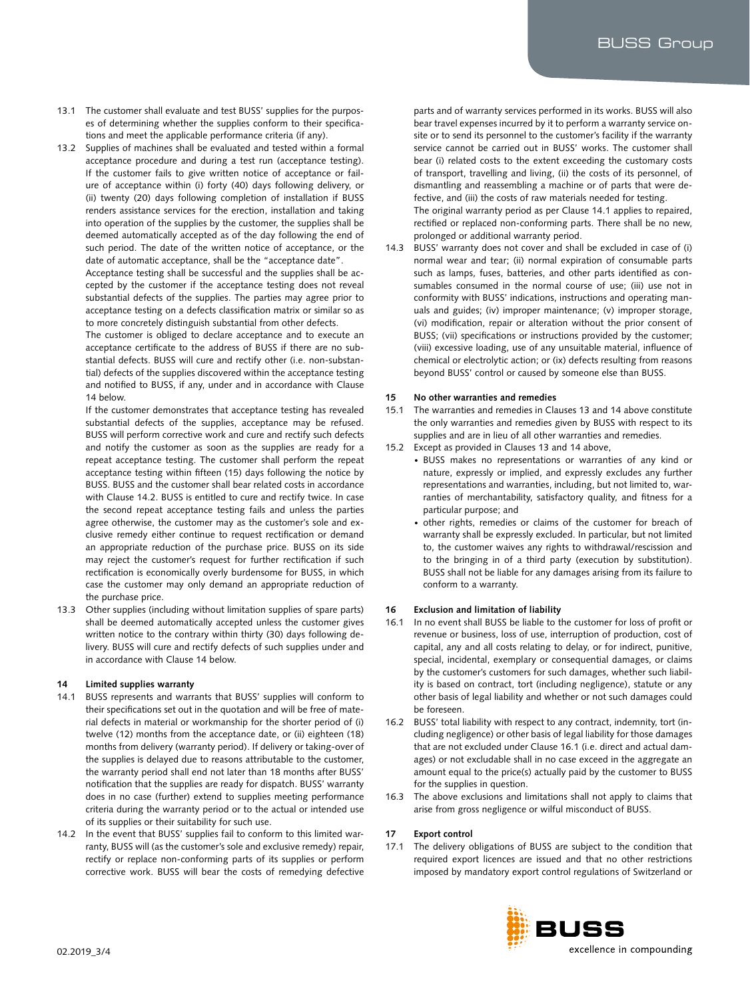- 13.1 The customer shall evaluate and test BUSS' supplies for the purposes of determining whether the supplies conform to their specifications and meet the applicable performance criteria (if any).
- 13.2 Supplies of machines shall be evaluated and tested within a formal acceptance procedure and during a test run (acceptance testing). If the customer fails to give written notice of acceptance or failure of acceptance within (i) forty (40) days following delivery, or (ii) twenty (20) days following completion of installation if BUSS renders assistance services for the erection, installation and taking into operation of the supplies by the customer, the supplies shall be deemed automatically accepted as of the day following the end of such period. The date of the written notice of acceptance, or the date of automatic acceptance, shall be the "acceptance date".

Acceptance testing shall be successful and the supplies shall be accepted by the customer if the acceptance testing does not reveal substantial defects of the supplies. The parties may agree prior to acceptance testing on a defects classification matrix or similar so as to more concretely distinguish substantial from other defects.

The customer is obliged to declare acceptance and to execute an acceptance certificate to the address of BUSS if there are no substantial defects. BUSS will cure and rectify other (i.e. non-substantial) defects of the supplies discovered within the acceptance testing and notified to BUSS, if any, under and in accordance with Clause 14 below.

If the customer demonstrates that acceptance testing has revealed substantial defects of the supplies, acceptance may be refused. BUSS will perform corrective work and cure and rectify such defects and notify the customer as soon as the supplies are ready for a repeat acceptance testing. The customer shall perform the repeat acceptance testing within fifteen (15) days following the notice by BUSS. BUSS and the customer shall bear related costs in accordance with Clause 14.2. BUSS is entitled to cure and rectify twice. In case the second repeat acceptance testing fails and unless the parties agree otherwise, the customer may as the customer's sole and exclusive remedy either continue to request rectification or demand an appropriate reduction of the purchase price. BUSS on its side may reject the customer's request for further rectification if such rectification is economically overly burdensome for BUSS, in which case the customer may only demand an appropriate reduction of the purchase price.

13.3 Other supplies (including without limitation supplies of spare parts) shall be deemed automatically accepted unless the customer gives written notice to the contrary within thirty (30) days following delivery. BUSS will cure and rectify defects of such supplies under and in accordance with Clause 14 below.

# **14 Limited supplies warranty**

- 14.1 BUSS represents and warrants that BUSS' supplies will conform to their specifications set out in the quotation and will be free of material defects in material or workmanship for the shorter period of (i) twelve (12) months from the acceptance date, or (ii) eighteen (18) months from delivery (warranty period). If delivery or taking-over of the supplies is delayed due to reasons attributable to the customer, the warranty period shall end not later than 18 months after BUSS' notification that the supplies are ready for dispatch. BUSS' warranty does in no case (further) extend to supplies meeting performance criteria during the warranty period or to the actual or intended use of its supplies or their suitability for such use.
- 14.2 In the event that BUSS' supplies fail to conform to this limited warranty, BUSS will (as the customer's sole and exclusive remedy) repair, rectify or replace non-conforming parts of its supplies or perform corrective work. BUSS will bear the costs of remedying defective

parts and of warranty services performed in its works. BUSS will also bear travel expenses incurred by it to perform a warranty service onsite or to send its personnel to the customer's facility if the warranty service cannot be carried out in BUSS' works. The customer shall bear (i) related costs to the extent exceeding the customary costs of transport, travelling and living, (ii) the costs of its personnel, of dismantling and reassembling a machine or of parts that were defective, and (iii) the costs of raw materials needed for testing. The original warranty period as per Clause 14.1 applies to repaired, rectified or replaced non-conforming parts. There shall be no new, prolonged or additional warranty period.

14.3 BUSS' warranty does not cover and shall be excluded in case of (i) normal wear and tear; (ii) normal expiration of consumable parts such as lamps, fuses, batteries, and other parts identified as consumables consumed in the normal course of use; (iii) use not in conformity with BUSS' indications, instructions and operating manuals and guides; (iv) improper maintenance; (v) improper storage, (vi) modification, repair or alteration without the prior consent of BUSS; (vii) specifications or instructions provided by the customer; (viii) excessive loading, use of any unsuitable material, influence of chemical or electrolytic action; or (ix) defects resulting from reasons beyond BUSS' control or caused by someone else than BUSS.

# **15 No other warranties and remedies**

- 15.1 The warranties and remedies in Clauses 13 and 14 above constitute the only warranties and remedies given by BUSS with respect to its supplies and are in lieu of all other warranties and remedies.
- 15.2 Except as provided in Clauses 13 and 14 above,
	- BUSS makes no representations or warranties of any kind or nature, expressly or implied, and expressly excludes any further representations and warranties, including, but not limited to, warranties of merchantability, satisfactory quality, and fitness for a particular purpose; and
	- other rights, remedies or claims of the customer for breach of warranty shall be expressly excluded. In particular, but not limited to, the customer waives any rights to withdrawal/rescission and to the bringing in of a third party (execution by substitution). BUSS shall not be liable for any damages arising from its failure to conform to a warranty.

# **16 Exclusion and limitation of liability**

- 16.1 In no event shall BUSS be liable to the customer for loss of profit or revenue or business, loss of use, interruption of production, cost of capital, any and all costs relating to delay, or for indirect, punitive, special, incidental, exemplary or consequential damages, or claims by the customer's customers for such damages, whether such liability is based on contract, tort (including negligence), statute or any other basis of legal liability and whether or not such damages could be foreseen.
- 16.2 BUSS' total liability with respect to any contract, indemnity, tort (including negligence) or other basis of legal liability for those damages that are not excluded under Clause 16.1 (i.e. direct and actual damages) or not excludable shall in no case exceed in the aggregate an amount equal to the price(s) actually paid by the customer to BUSS for the supplies in question.
- 16.3 The above exclusions and limitations shall not apply to claims that arise from gross negligence or wilful misconduct of BUSS.

# **17 Export control**

17.1 The delivery obligations of BUSS are subject to the condition that required export licences are issued and that no other restrictions imposed by mandatory export control regulations of Switzerland or